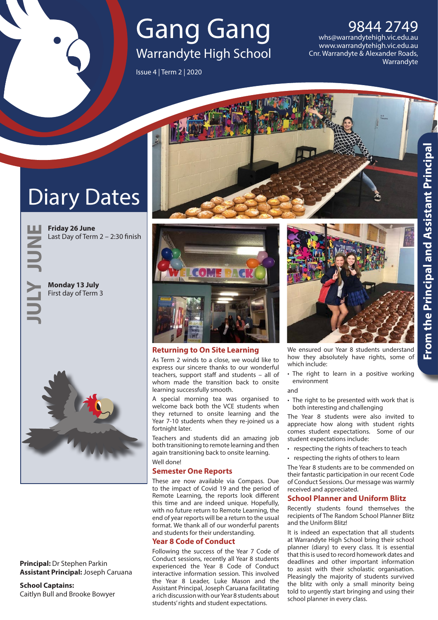## Gang Gang Warrandyte High School

Issue 4 | Term 2 | 2020

9844 2749 [whs@warrandytehigh.vic.edu.au](mailto:whs%40warrandytehigh.vic.edu.au?subject=Enquiry%20from%20Gang%20Gang) [www.warrandytehigh.vic.edu.au](http://www.warrandytehigh.vic.edu.au) Cnr. Warrandyte & Alexander Roads, **Warrandyte** 

# Diary Dates

**Friday 26 June** Last Day of Term 2 – 2:30 finish

**JUNE JULY**

**Monday 13 July** First day of Term 3



**Principal:** Dr Stephen Parkin **Assistant Principal:** Joseph Caruana

**School Captains:** Caitlyn Bull and Brooke Bowyer



## **Returning to On Site Learning**

As Term 2 winds to a close, we would like to express our sincere thanks to our wonderful teachers, support staff and students – all of whom made the transition back to onsite learning successfully smooth.

A special morning tea was organised to welcome back both the VCE students when they returned to onsite learning and the Year 7-10 students when they re-joined us a fortnight later.

Teachers and students did an amazing job both transitioning to remote learning and then again transitioning back to onsite learning. Well done!

## **Semester One Reports**

These are now available via Compass. Due to the impact of Covid 19 and the period of Remote Learning, the reports look different this time and are indeed unique. Hopefully, with no future return to Remote Learning, the end of year reports will be a return to the usual format. We thank all of our wonderful parents and students for their understanding.

#### **Year 8 Code of Conduct**

Following the success of the Year 7 Code of Conduct sessions, recently all Year 8 students experienced the Year 8 Code of Conduct interactive information session. This involved the Year 8 Leader, Luke Mason and the Assistant Principal, Joseph Caruana facilitating a rich discussion with our Year 8 students about students' rights and student expectations.



We ensured our Year 8 students understand how they absolutely have rights, some of which include:

• The right to learn in a positive working environment

and

• The right to be presented with work that is both interesting and challenging

The Year 8 students were also invited to appreciate how along with student rights comes student expectations. Some of our student expectations include:

- respecting the rights of teachers to teach
- respecting the rights of others to learn

The Year 8 students are to be commended on their fantastic participation in our recent Code of Conduct Sessions. Our message was warmly received and appreciated.

#### **School Planner and Uniform Blitz**

Recently students found themselves the recipients of The Random School Planner Blitz and the Uniform Blitz!

It is indeed an expectation that all students at Warrandyte High School bring their school planner (diary) to every class. It is essential that this is used to record homework dates and deadlines and other important information to assist with their scholastic organisation. Pleasingly the majority of students survived the blitz with only a small minority being told to urgently start bringing and using their school planner in every class.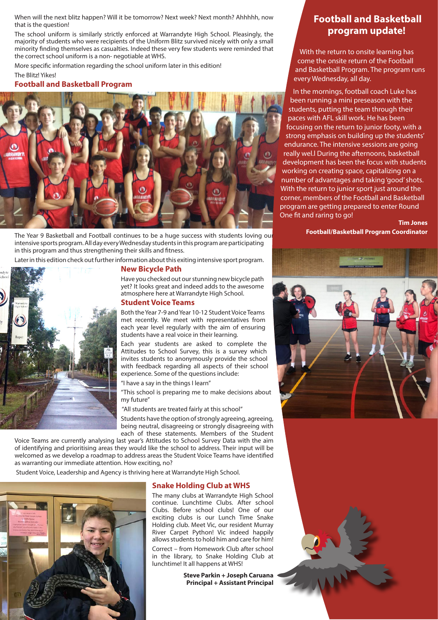When will the next blitz happen? Will it be tomorrow? Next week? Next month? Ahhhhh, now that is the question!

The school uniform is similarly strictly enforced at Warrandyte High School. Pleasingly, the majority of students who were recipients of the Uniform Blitz survived nicely with only a small minority finding themselves as casualties. Indeed these very few students were reminded that the correct school uniform is a non- negotiable at WHS.

More specific information regarding the school uniform later in this edition!

The Blitz! Yikes!

#### **Football and Basketball Program**



The Year 9 Basketball and Football continues to be a huge success with students loving our intensive sports program. All day every Wednesday students in this program are participating in this program and thus strengthening their skills and fitness.

Later in this edition check out further information about this exiting intensive sport program.

#### **New Bicycle Path**



Have you checked out our stunning new bicycle path yet? It looks great and indeed adds to the awesome atmosphere here at Warrandyte High School.

#### **Student Voice Teams**

Both the Year 7-9 and Year 10-12 Student Voice Teams met recently. We meet with representatives from each year level regularly with the aim of ensuring students have a real voice in their learning.

Each year students are asked to complete the Attitudes to School Survey, this is a survey which invites students to anonymously provide the school with feedback regarding all aspects of their school experience. Some of the questions include:

"I have a say in the things I learn"

"This school is preparing me to make decisions about my future"

"All students are treated fairly at this school"

Students have the option of strongly agreeing, agreeing, being neutral, disagreeing or strongly disagreeing with

each of these statements. Members of the Student Voice Teams are currently analysing last year's Attitudes to School Survey Data with the aim of identifying and prioritising areas they would like the school to address. Their input will be welcomed as we develop a roadmap to address areas the Student Voice Teams have identified as warranting our immediate attention. How exciting, no?

Student Voice, Leadership and Agency is thriving here at Warrandyte High School.



#### **Snake Holding Club at WHS**

The many clubs at Warrandyte High School continue. Lunchtime Clubs. After school Clubs. Before school clubs! One of our exciting clubs is our Lunch Time Snake Holding club. Meet Vic, our resident Murray River Carpet Python! Vic indeed happily allows students to hold him and care for him!

Correct – from Homework Club after school in the library, to Snake Holding Club at lunchtime! It all happens at WHS!

> **Steve Parkin + Joseph Caruana Principal + Assistant Principal**

## **Football and Basketball program update!**

With the return to onsite learning has come the onsite return of the Football and Basketball Program. The program runs every Wednesday, all day.

 In the mornings, football coach Luke has been running a mini preseason with the students, putting the team through their paces with AFL skill work. He has been focusing on the return to junior footy, with a strong emphasis on building up the students' endurance. The intensive sessions are going really wel.l During the afternoons, basketball development has been the focus with students working on creating space, capitalizing on a number of advantages and taking 'good' shots. With the return to junior sport just around the corner, members of the Football and Basketball program are getting prepared to enter Round One fit and raring to go!

> **Tim Jones Football/Basketball Program Coordinator**